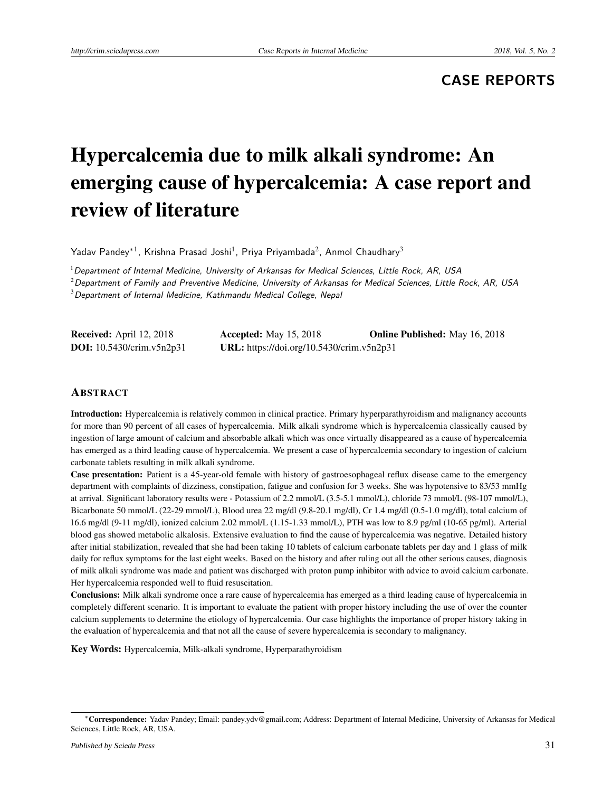# **CASE REPORTS**

# Hypercalcemia due to milk alkali syndrome: An emerging cause of hypercalcemia: A case report and review of literature

Yadav Pandey $^{\ast1}$ , Krishna Prasad Joshi<sup>1</sup>, Priya Priyambada<sup>2</sup>, Anmol Chaudhary<sup>3</sup>

 $1$ Department of Internal Medicine, University of Arkansas for Medical Sciences, Little Rock, AR, USA

 $^{2}$ Department of Family and Preventive Medicine, University of Arkansas for Medical Sciences, Little Rock, AR, USA

 $3$ Department of Internal Medicine, Kathmandu Medical College, Nepal

| <b>Received:</b> April 12, 2018  | <b>Accepted:</b> May 15, 2018             | <b>Online Published:</b> May 16, 2018 |
|----------------------------------|-------------------------------------------|---------------------------------------|
| <b>DOI:</b> 10.5430/crim.v5n2p31 | URL: https://doi.org/10.5430/crim.v5n2p31 |                                       |

#### ABSTRACT

Introduction: Hypercalcemia is relatively common in clinical practice. Primary hyperparathyroidism and malignancy accounts for more than 90 percent of all cases of hypercalcemia. Milk alkali syndrome which is hypercalcemia classically caused by ingestion of large amount of calcium and absorbable alkali which was once virtually disappeared as a cause of hypercalcemia has emerged as a third leading cause of hypercalcemia. We present a case of hypercalcemia secondary to ingestion of calcium carbonate tablets resulting in milk alkali syndrome.

Case presentation: Patient is a 45-year-old female with history of gastroesophageal reflux disease came to the emergency department with complaints of dizziness, constipation, fatigue and confusion for 3 weeks. She was hypotensive to 83/53 mmHg at arrival. Significant laboratory results were - Potassium of 2.2 mmol/L (3.5-5.1 mmol/L), chloride 73 mmol/L (98-107 mmol/L), Bicarbonate 50 mmol/L (22-29 mmol/L), Blood urea 22 mg/dl (9.8-20.1 mg/dl), Cr 1.4 mg/dl (0.5-1.0 mg/dl), total calcium of 16.6 mg/dl (9-11 mg/dl), ionized calcium 2.02 mmol/L (1.15-1.33 mmol/L), PTH was low to 8.9 pg/ml (10-65 pg/ml). Arterial blood gas showed metabolic alkalosis. Extensive evaluation to find the cause of hypercalcemia was negative. Detailed history after initial stabilization, revealed that she had been taking 10 tablets of calcium carbonate tablets per day and 1 glass of milk daily for reflux symptoms for the last eight weeks. Based on the history and after ruling out all the other serious causes, diagnosis of milk alkali syndrome was made and patient was discharged with proton pump inhibitor with advice to avoid calcium carbonate. Her hypercalcemia responded well to fluid resuscitation.

Conclusions: Milk alkali syndrome once a rare cause of hypercalcemia has emerged as a third leading cause of hypercalcemia in completely different scenario. It is important to evaluate the patient with proper history including the use of over the counter calcium supplements to determine the etiology of hypercalcemia. Our case highlights the importance of proper history taking in the evaluation of hypercalcemia and that not all the cause of severe hypercalcemia is secondary to malignancy.

Key Words: Hypercalcemia, Milk-alkali syndrome, Hyperparathyroidism

<sup>∗</sup>Correspondence: Yadav Pandey; Email: pandey.ydv@gmail.com; Address: Department of Internal Medicine, University of Arkansas for Medical Sciences, Little Rock, AR, USA.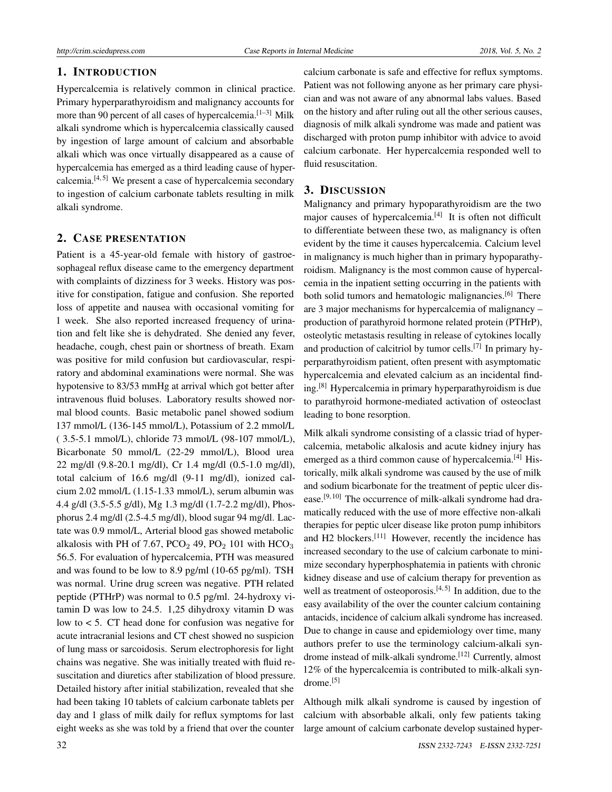# 1. INTRODUCTION

Hypercalcemia is relatively common in clinical practice. Primary hyperparathyroidism and malignancy accounts for more than 90 percent of all cases of hypercalcemia.<sup>[\[1](#page-3-0)[–3\]](#page-3-1)</sup> Milk alkali syndrome which is hypercalcemia classically caused by ingestion of large amount of calcium and absorbable alkali which was once virtually disappeared as a cause of hypercalcemia has emerged as a third leading cause of hypercalcemia. $[4, 5]$  $[4, 5]$  $[4, 5]$  We present a case of hypercalcemia secondary to ingestion of calcium carbonate tablets resulting in milk alkali syndrome.

# 2. CASE PRESENTATION

Patient is a 45-year-old female with history of gastroesophageal reflux disease came to the emergency department with complaints of dizziness for 3 weeks. History was positive for constipation, fatigue and confusion. She reported loss of appetite and nausea with occasional vomiting for 1 week. She also reported increased frequency of urination and felt like she is dehydrated. She denied any fever, headache, cough, chest pain or shortness of breath. Exam was positive for mild confusion but cardiovascular, respiratory and abdominal examinations were normal. She was hypotensive to 83/53 mmHg at arrival which got better after intravenous fluid boluses. Laboratory results showed normal blood counts. Basic metabolic panel showed sodium 137 mmol/L (136-145 mmol/L), Potassium of 2.2 mmol/L ( 3.5-5.1 mmol/L), chloride 73 mmol/L (98-107 mmol/L), Bicarbonate 50 mmol/L (22-29 mmol/L), Blood urea 22 mg/dl (9.8-20.1 mg/dl), Cr 1.4 mg/dl (0.5-1.0 mg/dl), total calcium of 16.6 mg/dl (9-11 mg/dl), ionized calcium 2.02 mmol/L (1.15-1.33 mmol/L), serum albumin was 4.4 g/dl (3.5-5.5 g/dl), Mg 1.3 mg/dl (1.7-2.2 mg/dl), Phosphorus 2.4 mg/dl (2.5-4.5 mg/dl), blood sugar 94 mg/dl. Lactate was 0.9 mmol/L, Arterial blood gas showed metabolic alkalosis with PH of 7.67, PCO<sub>2</sub> 49, PO<sub>2</sub> 101 with  $HCO<sub>3</sub>$ 56.5. For evaluation of hypercalcemia, PTH was measured and was found to be low to 8.9 pg/ml (10-65 pg/ml). TSH was normal. Urine drug screen was negative. PTH related peptide (PTHrP) was normal to 0.5 pg/ml. 24-hydroxy vitamin D was low to 24.5. 1,25 dihydroxy vitamin D was low to < 5. CT head done for confusion was negative for acute intracranial lesions and CT chest showed no suspicion of lung mass or sarcoidosis. Serum electrophoresis for light chains was negative. She was initially treated with fluid resuscitation and diuretics after stabilization of blood pressure. Detailed history after initial stabilization, revealed that she had been taking 10 tablets of calcium carbonate tablets per day and 1 glass of milk daily for reflux symptoms for last eight weeks as she was told by a friend that over the counter

calcium carbonate is safe and effective for reflux symptoms. Patient was not following anyone as her primary care physician and was not aware of any abnormal labs values. Based on the history and after ruling out all the other serious causes, diagnosis of milk alkali syndrome was made and patient was discharged with proton pump inhibitor with advice to avoid calcium carbonate. Her hypercalcemia responded well to fluid resuscitation.

### 3. DISCUSSION

Malignancy and primary hypoparathyroidism are the two major causes of hypercalcemia.<sup>[\[4\]](#page-3-2)</sup> It is often not difficult to differentiate between these two, as malignancy is often evident by the time it causes hypercalcemia. Calcium level in malignancy is much higher than in primary hypoparathyroidism. Malignancy is the most common cause of hypercalcemia in the inpatient setting occurring in the patients with both solid tumors and hematologic malignancies.<sup>[\[6\]](#page-3-4)</sup> There are 3 major mechanisms for hypercalcemia of malignancy – production of parathyroid hormone related protein (PTHrP), osteolytic metastasis resulting in release of cytokines locally and production of calcitriol by tumor cells.<sup>[\[7\]](#page-3-5)</sup> In primary hyperparathyroidism patient, often present with asymptomatic hypercalcemia and elevated calcium as an incidental finding.[\[8\]](#page-3-6) Hypercalcemia in primary hyperparathyroidism is due to parathyroid hormone-mediated activation of osteoclast leading to bone resorption.

Milk alkali syndrome consisting of a classic triad of hypercalcemia, metabolic alkalosis and acute kidney injury has emerged as a third common cause of hypercalcemia.<sup>[\[4\]](#page-3-2)</sup> Historically, milk alkali syndrome was caused by the use of milk and sodium bicarbonate for the treatment of peptic ulcer dis-ease.<sup>[\[9,](#page-3-7) [10\]](#page-3-8)</sup> The occurrence of milk-alkali syndrome had dramatically reduced with the use of more effective non-alkali therapies for peptic ulcer disease like proton pump inhibitors and H2 blockers.[\[11\]](#page-3-9) However, recently the incidence has increased secondary to the use of calcium carbonate to minimize secondary hyperphosphatemia in patients with chronic kidney disease and use of calcium therapy for prevention as well as treatment of osteoporosis.<sup>[\[4,](#page-3-2) [5\]](#page-3-3)</sup> In addition, due to the easy availability of the over the counter calcium containing antacids, incidence of calcium alkali syndrome has increased. Due to change in cause and epidemiology over time, many authors prefer to use the terminology calcium-alkali syn-drome instead of milk-alkali syndrome.<sup>[\[12\]](#page-3-10)</sup> Currently, almost 12% of the hypercalcemia is contributed to milk-alkali syn-drome.<sup>[\[5\]](#page-3-3)</sup>

Although milk alkali syndrome is caused by ingestion of calcium with absorbable alkali, only few patients taking large amount of calcium carbonate develop sustained hyper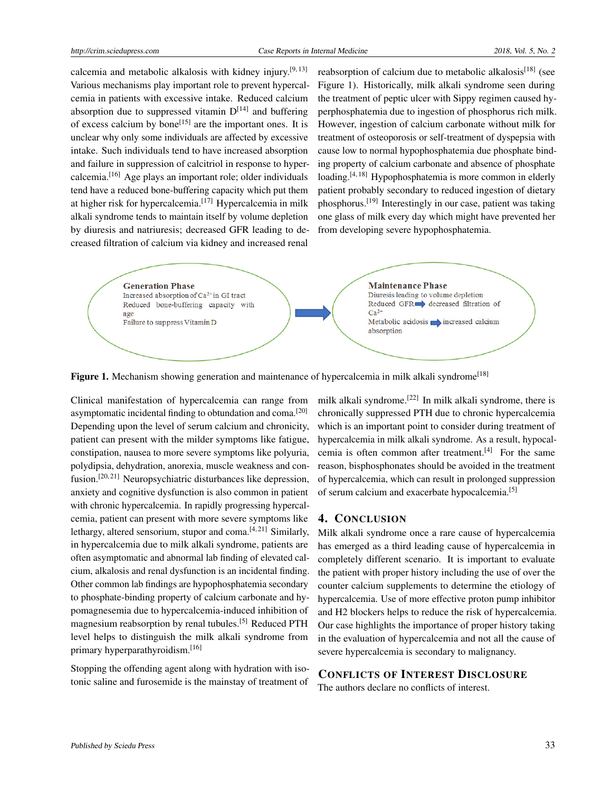calcemia and metabolic alkalosis with kidney injury.[\[9,](#page-3-7) [13\]](#page-3-11) Various mechanisms play important role to prevent hypercalcemia in patients with excessive intake. Reduced calcium absorption due to suppressed vitamin  $D^{[14]}$  $D^{[14]}$  $D^{[14]}$  and buffering of excess calcium by bone<sup>[\[15\]](#page-3-13)</sup> are the important ones. It is unclear why only some individuals are affected by excessive intake. Such individuals tend to have increased absorption and failure in suppression of calcitriol in response to hypercalcemia.[\[16\]](#page-3-14) Age plays an important role; older individuals tend have a reduced bone-buffering capacity which put them at higher risk for hypercalcemia.<sup>[\[17\]](#page-3-15)</sup> Hypercalcemia in milk alkali syndrome tends to maintain itself by volume depletion by diuresis and natriuresis; decreased GFR leading to decreased filtration of calcium via kidney and increased renal

reabsorption of calcium due to metabolic alkalosis<sup>[\[18\]](#page-3-16)</sup> (see Figure 1). Historically, milk alkali syndrome seen during the treatment of peptic ulcer with Sippy regimen caused hyperphosphatemia due to ingestion of phosphorus rich milk. However, ingestion of calcium carbonate without milk for treatment of osteoporosis or self-treatment of dyspepsia with cause low to normal hypophosphatemia due phosphate binding property of calcium carbonate and absence of phosphate loading.<sup>[\[4,](#page-3-2) [18\]](#page-3-16)</sup> Hypophosphatemia is more common in elderly patient probably secondary to reduced ingestion of dietary phosphorus.<sup>[\[19\]](#page-3-17)</sup> Interestingly in our case, patient was taking one glass of milk every day which might have prevented her from developing severe hypophosphatemia.



Figure 1. Mechanism showing generation and maintenance of hypercalcemia in milk alkali syndrome<sup>[\[18\]](#page-3-16)</sup>

Clinical manifestation of hypercalcemia can range from asymptomatic incidental finding to obtundation and coma.[\[20\]](#page-3-18) Depending upon the level of serum calcium and chronicity, patient can present with the milder symptoms like fatigue, constipation, nausea to more severe symptoms like polyuria, polydipsia, dehydration, anorexia, muscle weakness and con-fusion.<sup>[\[20,](#page-3-18) [21\]](#page-3-19)</sup> Neuropsychiatric disturbances like depression, anxiety and cognitive dysfunction is also common in patient with chronic hypercalcemia. In rapidly progressing hypercalcemia, patient can present with more severe symptoms like lethargy, altered sensorium, stupor and coma.<sup>[\[4,](#page-3-2)[21\]](#page-3-19)</sup> Similarly, in hypercalcemia due to milk alkali syndrome, patients are often asymptomatic and abnormal lab finding of elevated calcium, alkalosis and renal dysfunction is an incidental finding. Other common lab findings are hypophosphatemia secondary to phosphate-binding property of calcium carbonate and hypomagnesemia due to hypercalcemia-induced inhibition of magnesium reabsorption by renal tubules.[\[5\]](#page-3-3) Reduced PTH level helps to distinguish the milk alkali syndrome from primary hyperparathyroidism.<sup>[\[16\]](#page-3-14)</sup>

Stopping the offending agent along with hydration with isotonic saline and furosemide is the mainstay of treatment of

milk alkali syndrome.<sup>[\[22\]](#page-3-20)</sup> In milk alkali syndrome, there is chronically suppressed PTH due to chronic hypercalcemia which is an important point to consider during treatment of hypercalcemia in milk alkali syndrome. As a result, hypocal-cemia is often common after treatment.<sup>[\[4\]](#page-3-2)</sup> For the same reason, bisphosphonates should be avoided in the treatment of hypercalcemia, which can result in prolonged suppression of serum calcium and exacerbate hypocalcemia.[\[5\]](#page-3-3)

#### 4. CONCLUSION

Milk alkali syndrome once a rare cause of hypercalcemia has emerged as a third leading cause of hypercalcemia in completely different scenario. It is important to evaluate the patient with proper history including the use of over the counter calcium supplements to determine the etiology of hypercalcemia. Use of more effective proton pump inhibitor and H2 blockers helps to reduce the risk of hypercalcemia. Our case highlights the importance of proper history taking in the evaluation of hypercalcemia and not all the cause of severe hypercalcemia is secondary to malignancy.

# CONFLICTS OF INTEREST DISCLOSURE

The authors declare no conflicts of interest.